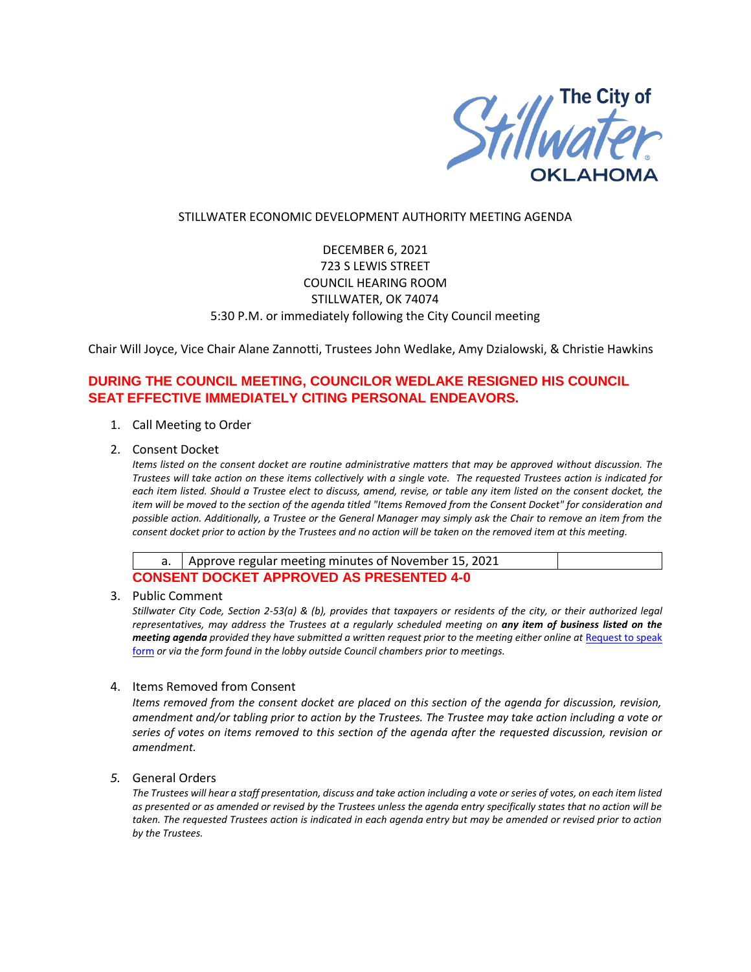

## STILLWATER ECONOMIC DEVELOPMENT AUTHORITY MEETING AGENDA

# DECEMBER 6, 2021 723 S LEWIS STREET COUNCIL HEARING ROOM STILLWATER, OK 74074 5:30 P.M. or immediately following the City Council meeting

Chair Will Joyce, Vice Chair Alane Zannotti, Trustees John Wedlake, Amy Dzialowski, & Christie Hawkins

# **DURING THE COUNCIL MEETING, COUNCILOR WEDLAKE RESIGNED HIS COUNCIL SEAT EFFECTIVE IMMEDIATELY CITING PERSONAL ENDEAVORS.**

### 1. Call Meeting to Order

2. Consent Docket

*Items listed on the consent docket are routine administrative matters that may be approved without discussion. The Trustees will take action on these items collectively with a single vote. The requested Trustees action is indicated for each item listed. Should a Trustee elect to discuss, amend, revise, or table any item listed on the consent docket, the item will be moved to the section of the agenda titled "Items Removed from the Consent Docket" for consideration and possible action. Additionally, a Trustee or the General Manager may simply ask the Chair to remove an item from the consent docket prior to action by the Trustees and no action will be taken on the removed item at this meeting.*

|                                                 | a.   Approve regular meeting minutes of November 15, 2021 |  |  |  |
|-------------------------------------------------|-----------------------------------------------------------|--|--|--|
| <b>CONSENT DOCKET APPROVED AS PRESENTED 4-0</b> |                                                           |  |  |  |

#### 3. Public Comment

*Stillwater City Code, Section 2-53(a) & (b), provides that taxpayers or residents of the city, or their authorized legal representatives, may address the Trustees at a regularly scheduled meeting on any item of business listed on the meeting agenda provided they have submitted a written request prior to the meeting either online at Request to speak* [form](http://stillwater.org/page/home/government/mayor-city-council/meetings-agendas-minutes/online-request-to-speak-at-city-council) *or via the form found in the lobby outside Council chambers prior to meetings.*

### 4. Items Removed from Consent

*Items removed from the consent docket are placed on this section of the agenda for discussion, revision, amendment and/or tabling prior to action by the Trustees. The Trustee may take action including a vote or series of votes on items removed to this section of the agenda after the requested discussion, revision or amendment.*

# *5.* General Orders

*The Trustees will hear a staff presentation, discuss and take action including a vote or series of votes, on each item listed as presented or as amended or revised by the Trustees unless the agenda entry specifically states that no action will be taken. The requested Trustees action is indicated in each agenda entry but may be amended or revised prior to action by the Trustees.*